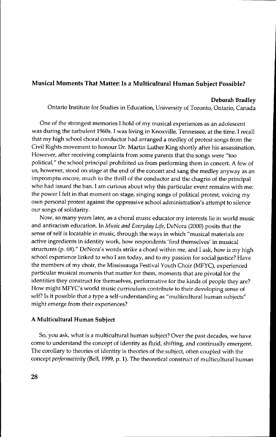### **Musical Moments That Matter: Is a Multicultural Human Subject Possible?**

### **Deborah Bradley**

Ontario Institute for Studies **in** Education, University of Toronto, Ontario, Canada

One of the strongest memories I hold of my musical experiences as an adolescent was during the turbulent 1960s. I was living in Knoxville, Tennessee, at the time. I recall that my high school choral conductor had arranged a medley of protest songs from the Civil Rights movement to honour Dr. Martin Luther King shortly after his assassination. However, after receiving complaints from some parents that the songs were "too political," the school principal prohibited us from performing them in concert. A few of us, however, stood on stage at the end of the concert and sang the medley anyway as an impromptu encore, much to the thrill of the conductor and the chagrin of the principal who had issued the ban. I am curious about why this particular event remains with me: the power I felt in that moment on stage, singing songs of political protest, voicing my own personal protest against the oppressive school administration's attempt to silence our songs of solidarity.

Now, so many years later, as a choral music educator my interests lie in world music and antiracism education. In *Music and EvenJday Life,* DeN ora (2000) posits that the sense of self is locatable in music, through the ways in which "musical materials are active ingredients in identity work, how respondents 'find themselves' in musical structures (p. 68)." DeNora's words strike a chord within me, and I ask, how is my high school experience linked to who I am today, and to my passion for social justice? Have the members of my choir, the Mississauga Festival Youth Choir (MFYC), experienced particular musical moments that matter for them, moments that are pivotal for the identities they construct for themselves, performative for the kinds of people they are? How might MFYC's world music curriculum contribute to their developing sense of self? Is it possible that a type a self-understanding as "multicultural human subjects" might emerge from their experiences?

### **A Multicultural Human Subject**

So, you ask, what is a multicultural human subject? Over the past decades, we have come to understand the concept of identity as fluid, shifting, and continually emergent. The corollary to theories of identity is theories of the subject, often coupled with the concept *perjormativity* (Bell, 1999, p. 1). The theoretical construct of multicultural human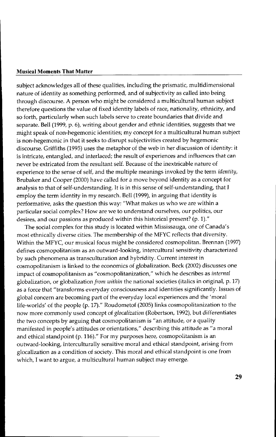subject acknowledges all of these qualities, including the prismatic, multidimensional nature of identity as something performed, and of subjectivity as called into being through discourse. A person who might be considered a multicultural human subject therefore questions the value of fixed identity labels of race, nationality, ethnicity, and so forth, particularly when such labels serve to create boundaries that divide and separate. Bell (1999, p. 6), writing about gender and ethnic identities, suggests that we might speak of non-hegemonic identities; my concept for a multicultural human subject is non-hegemonic in that it seeks to disrupt subjectivities created by hegemonic discourse. Griffiths (1995) uses the metaphor of the web in her discussion of identity: it is intricate, entangled, and interlaced; the result of experiences and influences that can never be extricated from the resultant self. Because of the inextricable nature of experience to the sense of self, and the multiple meanings invoked by the term *identity,* Brubaker and Cooper (2000) have called for a move beyond identity as a concept for analysis to that of self-understanding. It is in this sense of self-understanding, that I employ the term identity in my research. Bell (1999), in arguing that identity is performative, asks the question this way: "What makes us who we are within a particular social complex? How are we to understand ourselves, our politics, our desires, and our passions as produced within this historical present? (p. 1)."

The social complex for this study is located within Mississauga, one of Canada's most ethnically diverse cities. The membership of the MFYC reflects that diversity. Within the MFYC, our musical focus might be considered cosmopolitan. Brennan (1997) defines cosmopolitanism as an outward-looking, intercultural sensitivity characterized by such phenomena as transculturation and hybridity. Current interest in cosmopolitanism is linked to the economics of globalization. Beck (2002) discusses one impact of cosmopolitanism as "cosmopolitanization," which he describes as *internal* globalization, or globalization *from within* the national societies (italics in original, p. 17) as a force that "transforms everyday consciousness and identities significantly. Issues of global concern are becoming part of the everyday local experiences and the 'moral life-worlds' of the people (p. 17)." Roudometof (2005) links cosmopolitanization to the now more commonly used concept of *glocalization* (Robertson, 1992), but differentiates the two concepts by arguing that cosmopolitanism is "an attitude, or a quality manifested in people's attitudes or orientations," describing this attitude as "a moral and ethical standpoint (p. 116)." For my purposes here, cosmopolitanism is an outward-looking, interculturally sensitive moral and ethical standpoint, arising from glocalization as a condition of society. This moral and ethical standpoint is one from which, I want to argue, a multicultural human subject may emerge.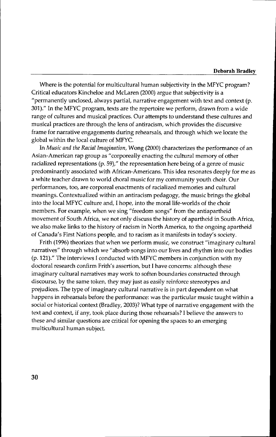#### **Deborah Bradley**

Where is the potential for multicultural human subjectivity in the MFYC program? Critical educators Kincheloe and McLaren (2000) argue that subjectivity is a "permanently unclosed, always partial, narrative engagement with text and context (p. 301)." In the MFYC program, texts are the repertoire we perform, drawn from a wide range of cultures and musical practices. Our attempts to understand these cultures and musical practices are through the lens of antiracism, which provides the discursive frame for narrative engagements during rehearsals, and through which we locate the global within the local culture of MFYC.

In *Music and the Racial Imagination,* Wong (2000) characterizes the performance of an Asian-American rap group as "corporeally enacting the cultural memory of other racialized representations (p. 59)," the representation here being of a genre of music predominantly associated with African-Americans. This idea resonates deeply for me as a white teacher drawn to world choral music for my community youth choir. Our performances, too, are corporeal enactments of racialized memories and cultural meanings. Contextualized within an antiracism pedagogy, the music brings the global into the local MFYC culture and, I hope, into the moral life-worlds of the choir members. For example, when we sing "freedom songs" from the antiapartheid movement of South Africa, we not only discuss the history of apartheid in South Africa, we also make links to the history of racism in North America, to the ongoing apartheid of Canada's First Nations people, and to racism as it manifests in today's society.

Frith (1996) theorizes that when we perform music, we construct "imaginary cultural narratives" through which we "absorb songs into our lives and rhythm into our bodies (p. 121)." The interviews I conducted with MFYC members in conjunction with my doctoral research confirm Frith's assertion, but I have concerns: although these imaginary cultural narratives may work to soften boundaries constructed through discourse, by the same token, they may just as easily reinforce stereotypes and prejudices. The type of imaginary cultural narrative is in part dependent on what happens in rehearsals before the performance: was the particular music taught within a social or historical context (Bradley, 2003)? What type of narrative engagement with the text and context, if any, took place during those rehearsals? I believe the answers to these and similar questions are critical for opening the spaces to an emerging multicultural human subject.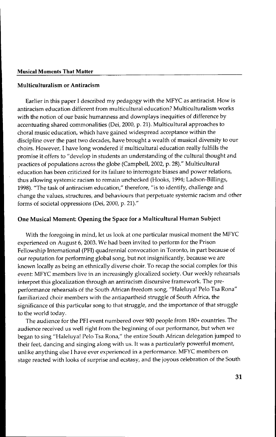# Multiculturalism or Antiracism

Earlier in this paper I described my pedagogy with the MFYC as antiracist. How is antiracism education different from multicultural education? Multiculturalism works with the notion of our basic humanness and downplays inequities of difference by accentuating shared commonalities (Dei, 2000, p. 21). Multicultural approaches to choral music education, which have gained widespread acceptance within the discipline over the past two decades, have brought a wealth of musical diversity to our choirs. However, I have long wondered if multicultural education really fulfills the promise it offers to "develop in students an understanding of the cultural thought and practices of populations across the globe (Campbell, 2002, p. 28)." Multicultural education has been criticized for its failure to interrogate biases and power relations, thus allowing systemic racism to remain unchecked (Hooks, 1994; Ladson-Billings, 1998). "The task of antiracism education," therefore, "is to identify, challenge and change the values, structures, and behaviours that perpetuate systemic racism and other forms of societal oppressions (Dei, 2000, p. 21)."

# One Musical Moment: Opening the Space for a Multicultural Human Subject

With the foregoing in mind, let us look at one particular musical moment the MFYC experienced on August 6, 2003. We had been invited to perform for the Prison Fellowship International (PFI) quadrennial convocation in Toronto, in part because of our reputation for performing global song, but not insignificantly, because we are known locally as being an ethnically diverse choir. To recap the social complex for this event: MFYC members live in an increasingly glocalized society. Our weekly rehearsals interpret this glocalization through an antiracism discursive framework. The preperformance rehearsals of the South African freedom song, "Haleluya! Pelo Tsa Rona" familiarized choir members with the antiapartheid struggle of South Africa, the significance of this particular song to that struggle, and the importance of that struggle to the world today.

The audience for the PFI event numbered over 900 people from 180+ countries. The audience received us well right from the beginning of our performance, but when we began to sing "Haleluya! Pelo Tsa Rona," the entire South African delegation jumped to their feet, dancing and singing along with us. It was a particularly powerful moment, unlike anything else I have ever experienced in a performance. MFYC members on stage reacted with looks of surprise and ecstasy, and the joyous celebration of the South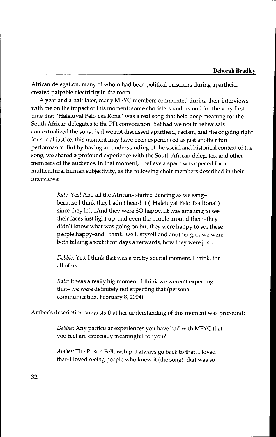### **Deborah Bradley**

African delegation, many of whom had been political prisoners during apartheid, created palpable electricity in the room.

A year and a half later, many MFYC members commented during their interviews with me on the impact of this moment: some choristers understood for the very first time that "Haleluya! Pelo Tsa Rona" was a real song that held deep meaning for the South African delegates to the PFI convocation. Yet had we not in rehearsals contextualized the song, had we not discussed apartheid, racism, and the ongoing fight for social justice, this moment may have been experienced as just another fun performance. But by having an understanding of the social and historical context of the song, we shared a profound experience with the South African delegates, and other members of the audience. In that moment, I believe a space was opened for a multicultural human subjectivity, as the following choir members described in their interviews:

> *Kate:* Yes! And all the Africans started dancing as we sangbecause I think they hadn't heard it ("Haleluya! Pelo Tsa Rona") since they left...And they were SO happy...it was amazing to see their faces just light up-and even the people around them-they didn't know what was going on but they were happy to see these people happy-and I think-well, myself and another girl, we were both talking about it for days afterwards, how they were just...

*Debbie:* Yes, I think that was a pretty special moment, I think, for all of us.

*Kate:* It was a really big moment. I think we weren't expecting that- we were definitely not expecting that (personal communication, February 8, 2004).

Amber's description suggests that her understanding of this moment was profound:

*Debbie:* Any particular experiences you have had with MFYC that you feel are especially meaningful for you?

*Amber:* The Prison Fellowship-I always go back to that. I loved that-I loved seeing people who knew it (the song)-that was so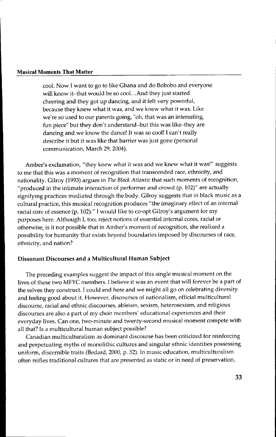cool. Now I want to go to like Ghana and do Bobobo and everyone will know it-that would be so cool. ..And they just started cheering and they got up dancing, and it felt very powerful, because they knew what it was, and we knew what it was. Like we're so used to our parents going, "oh, that was an interesting, fun piece" but they don't understand-but this was like-they are dancing and we know the dance! It was so cool! I can't really describe it but it was like that barrier was just gone (personal communication, March 29, 2004).

Amber's exclamation, "they knew what it was and we knew what it was!" suggests to me that this was a moment of recognition that transcended race, ethnicity, and nationality. Gilroy (1993) argues in *The Black Atlantic* that such moments of recognition, "produced in the intimate interaction of performer and crowd (p. 102)" are actually signifying practices mediated through the body. Gilroy suggests that in black music as a cultural practice, this musical recognition produces "the imaginary effect of an internal racial core of essence (p. 102)." I would like to co-opt Gilroy's argument for my purposes here. Although I, too, reject notions of essential internal cores, racial or otherwise, is it not possible that in Amber's moment of recognition, she realized a possibility for humanity that exists beyond boundaries imposed by discourses of race, ethnicity, and nation?

## Dissonant Discourses and a Multicultural Human Subject

The preceding examples suggest the impact of this single musical moment on the lives of these two MFYC members. I believe it was an event that will forever be a part of the selves they construct. I could end here and we might all go on celebrating diversity and feeling good about it. However, discourses of nationalism, official multicultural discourse, racial and ethnic discourses, ableism, sexism, heterosexism, and religious discourses are also a part of my choir members' educational experiences and their everyday lives. Can one, two-minute and twenty-second musical moment compete with all that? Is a multicultural human subject possible?

Canadian multiculturalism as dominant discourse has been criticized for reinforcing and perpetuating myths of monolithic cultures and singular ethnic identities possessing uniform, discernible traits (Bedard, 2000, p. 52). In music education, multiculturalism often reifies traditional cultures that are presented as static or in need of preservation,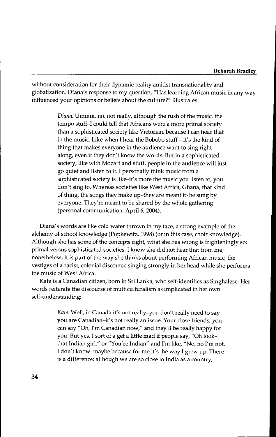without consideration for their dynamic reality amidst transnationality and globalization. Diana's response to my question, "Has learning African music in any way influenced your opinions or beliefs about the culture?" illustrates:

> *Diana:* Ummm, no, not really, although the rush of the music, the tempo stuff-I could tell that Africans were a more primal society than a sophisticated society like Victorian, because I can hear that in the music. Like when I hear the Bobobo stuff - it's the kind of thing that makes everyone in the audience want to sing right along, even if they don't know the words. But in a sophisticated society, like with Mozart and stuff, people in the audience will just go quiet and listen to it. I personally think music from a sophisticated society is like-it's more the music you listen to, you don't sing to. Whereas societies like West Africa, Ghana, that kind of thing, the songs they make up-they are meant to be sung by everyone. They're meant to be shared by the whole gathering (personal communication, April 6, 2004).

Diana's words are like cold water thrown in my face, a strong example of the alchemy of school knowledge (Popkewitz, 1998) (or in this case, choir knowledge). Although she has some of the concepts right, what she has wrong is frighteningly so: primal versus sophisticated societies. I know she did not hear that from me; nonetheless, it is part of the way she thinks about performing African music, the vestiges of a racist, colonial discourse singing strongly in her head while she performs the music of West Africa.

Kate is a Canadian citizen, born in Sri Lanka, who self-identifies as Singhalese. Her words reiterate the discourse of multiculturalism as implicated in her own self-understanding:

> *Kate:* Well, in Canada it's not really-you don't really need to say you are Canadian-it's not really an issue. Your close friends, you can say "Oh, I'm Canadian now," and they'll be really happy for you. But yes, I sort of a get a little mad if people say, "Oh lookthat Indian girl," or "You're Indian" and I'm like, "No, no I'm not. I don't know-maybe because for me it's the way I grew up. There is a difference: although we are so close to India as a country,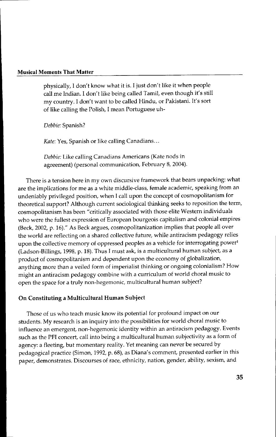physically, I don't know what it is. I just don't like it when people call me Indian. I don't like being called Tamil, even though it's still my country. I don't want to be called Hindu, or Pakistani. It's sort of like calling the Polish, I mean Portuguese uh-

*Debbie:* Spanish?

*Kate:* Yes, Spanish or like calling Canadians...

*Debbie:* Like calling Canadians Americans (Kate nods in agreement) (personal communication, February 8, 2004).

There is a tension here in my own discursive framework that bears unpacking: what are the implications for me as a white middle-class, female academic, speaking from an undeniably privileged position, when I call upon the concept of cosmopolitanism for theoretical support? Although current sociological thinking seeks to reposition the term, cosmopolitanism has been "critically associated with those elite Western individuals who were the fullest expression of European bourgeois capitalism and colonial empires (Beck, 2002, p. 16)." As Beck argues, cosmopolitanization implies that people all over the world are reflecting on a shared collective future, while antiracism pedagogy relies upon the collective memory of oppressed peoples as a vehicle for interrogating power<sup>1</sup> (Ladson-Billings, 1998, p. 18). Thus I must ask, is a multicultural human subject, as a product of cosmopolitanism and dependent upon the economy of globalization, anything more than a veiled form of imperialist thinking or ongoing colonialism? How might an antiracism pedagogy combine with a curriculum of world choral music to open the space for a truly non-hegemonic, multicultural human subject?

# On Constituting a Multicultural Human Subject

Those of us who teach music know its potential for profound impact on our students. My research is an inquiry into the possibilities for world choral music to influence an emergent, non-hegemonic identity within an antiracism pedagogy. Events such as the PFI concert, call into being a multicultural human subjectivity as a form of agency: a fleeting, but momentary reality. Yet meaning can never be secured by pedagogical practice (Simon, 1992, p. 68), as Diana's comment, presented earlier in this paper, demonstrates. Discourses of race, ethnicity, nation, gender, ability, sexism, and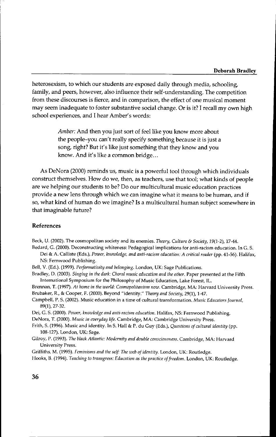### **Deborah Bradley**

heterosexism, to which our students are exposed daily through media, schooling, family, and peers, however, also influence their self-understanding. The competition from these discourses is fierce, and in comparison, the effect of one musical moment may seem inadequate to foster substantive social change. Or is it? I recall my own high school experiences, and I hear Amber's words:

> *Amber:* And then you just sort of feel like you know more about the people-you can't really specify something because it is just a song, right? But it's like just something that they know and you know. And it's like a common bridge...

As DeNora (2000) reminds us, music is a powerful tool through which individuals construct themselves. How do we, then, as teachers, use that tool; what kinds of people are we helping our students to be? Do our multicultural music education practices provide a new lens through which we can imagine what it means to be human, and if so, what kind of human do we imagine? Is a multicultural human subject somewhere in that imaginable future?

### References

Beck, U. (2002). The cosmopolitan society and its enemies. *Theory, Culture* & *Society,* 19(1-2),17-44.

Bedard, G. (2000). Deconstructing whiteness: Pedagogical implications for anti-racism education. In G. S. Dei & A. Calliste (Eds.), *Power, knowledge, and anti-racism education: A critical reader* (pp. 41-56). Halifax, NS: Fernwood Publishing.

Bell, V. (Ed.). (1999). *Performativity and belonging*. London, UK: Sage Publications.

Bradley, D. (2003). *Singing in the dark: Choral music education and the other. Paper presented at the Fifth* International Symposium for the Philosophy of Music Education, Lake Forest, IL.

Brennan, T. (1997). *At home in the world: Cosmopolitanism now.* Cambridge, MA: Harvard University Press. Brubaker, R., & Cooper, F. (2000). Beyond "identity." *Theory and Society*, 29(1), 1-47.

Campbell, P. S. (2002). Music education in a time of cultural transformation. *Music Educators {ournal,* 89(1), 27-32.

Dei, G. S. (2000). *Power, knowledge alld anti-racism education.* Halifax, NS: Fernwood Publishing.

DeNora, T. (2000). *Music in everyday life.* Cambridge, MA: Cambridge University Press.

Frith, S. (1996). Music and identity. In S. Hall & P. du Guy (Eds.), *Questions of cultural identity* (pp. 108-127). London, UK: Sage.

Gilroy, P. (1993). *The black Atlantic: Modemity and double consciousness.* Cambridge, MA: Harvard University Press.

Griffiths, M. (1995). *Fcminisms and the self* The *web of identity.* London, UK: Routledge.

Hooks, B. (1994). *Teaching* to *transgress: Education as the practice offreedom.* London, UK: Routledge.